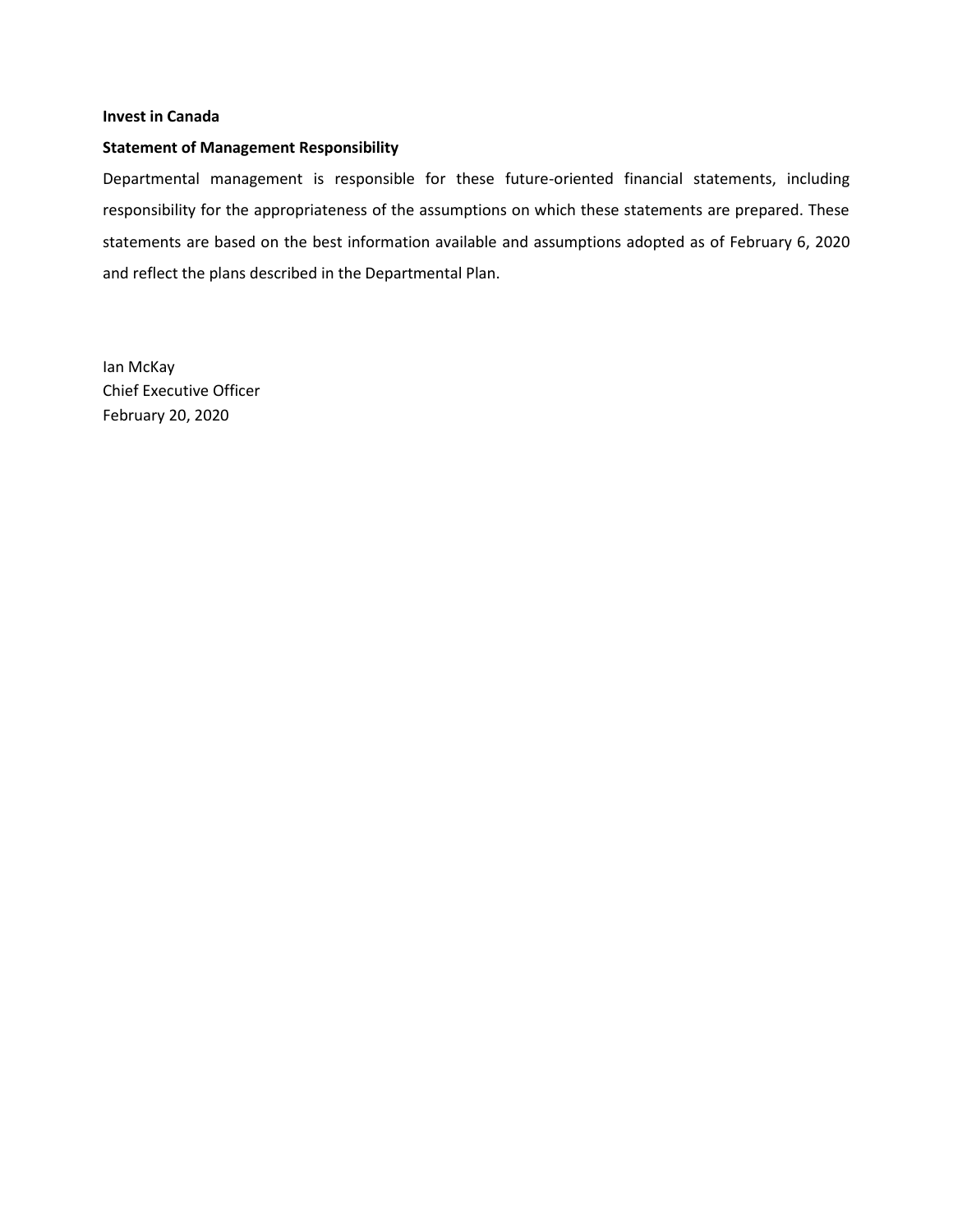#### **Invest in Canada**

#### **Statement of Management Responsibility**

Departmental management is responsible for these future-oriented financial statements, including responsibility for the appropriateness of the assumptions on which these statements are prepared. These statements are based on the best information available and assumptions adopted as of February 6, 2020 and reflect the plans described in the Departmental Plan.

Ian McKay Chief Executive Officer February 20, 2020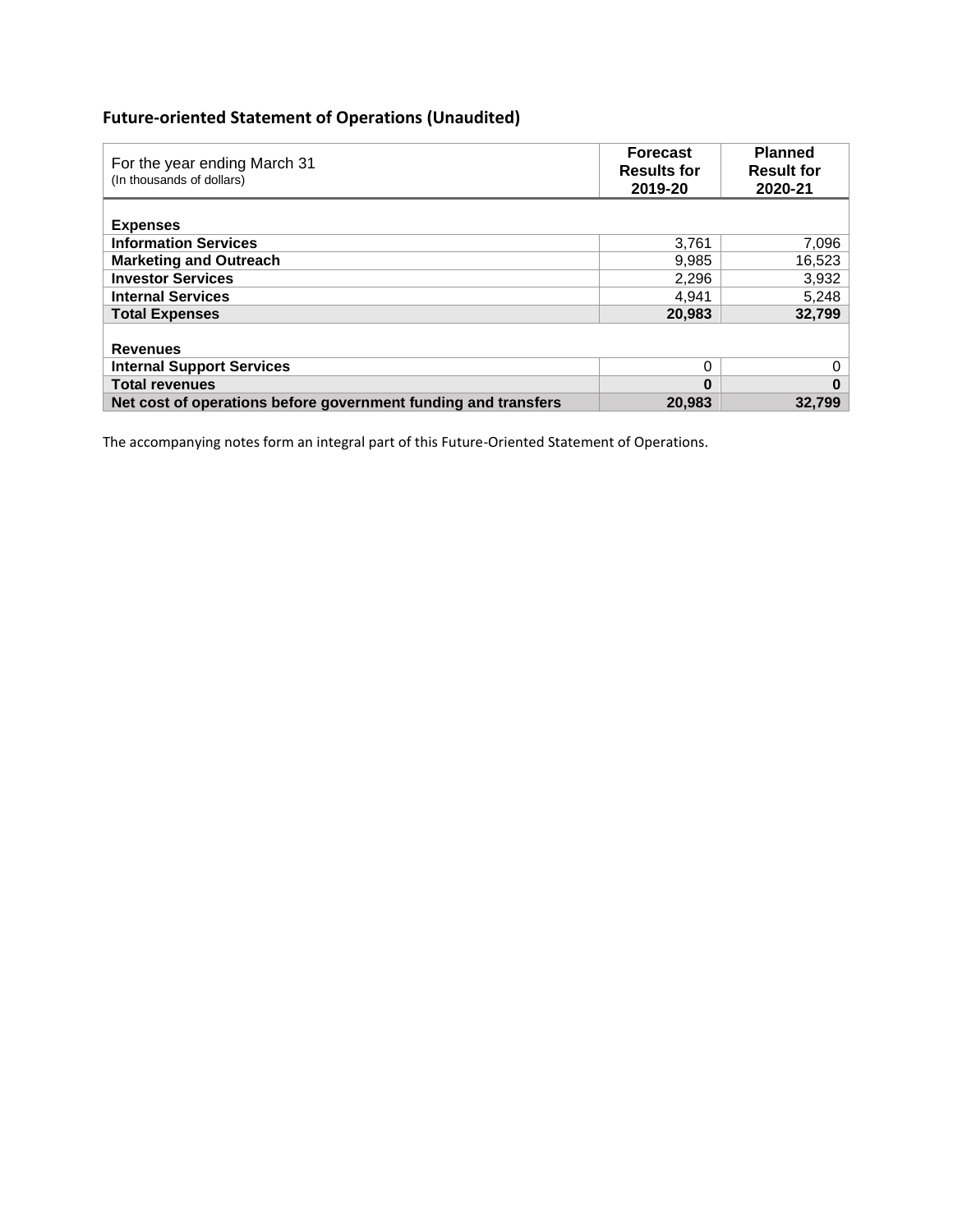# **Future-oriented Statement of Operations (Unaudited)**

| For the year ending March 31<br>(In thousands of dollars)      | <b>Forecast</b><br><b>Results for</b><br>2019-20 | <b>Planned</b><br><b>Result for</b><br>2020-21 |
|----------------------------------------------------------------|--------------------------------------------------|------------------------------------------------|
| <b>Expenses</b>                                                |                                                  |                                                |
| <b>Information Services</b>                                    | 3.761                                            | 7,096                                          |
| <b>Marketing and Outreach</b>                                  | 9,985                                            | 16,523                                         |
| <b>Investor Services</b>                                       | 2,296                                            | 3,932                                          |
| <b>Internal Services</b>                                       | 4.941                                            | 5,248                                          |
| <b>Total Expenses</b>                                          | 20,983                                           | 32,799                                         |
| <b>Revenues</b>                                                |                                                  |                                                |
| <b>Internal Support Services</b>                               | 0                                                | 0                                              |
| <b>Total revenues</b>                                          | 0                                                | 0                                              |
| Net cost of operations before government funding and transfers | 20,983                                           | 32.799                                         |

The accompanying notes form an integral part of this Future-Oriented Statement of Operations.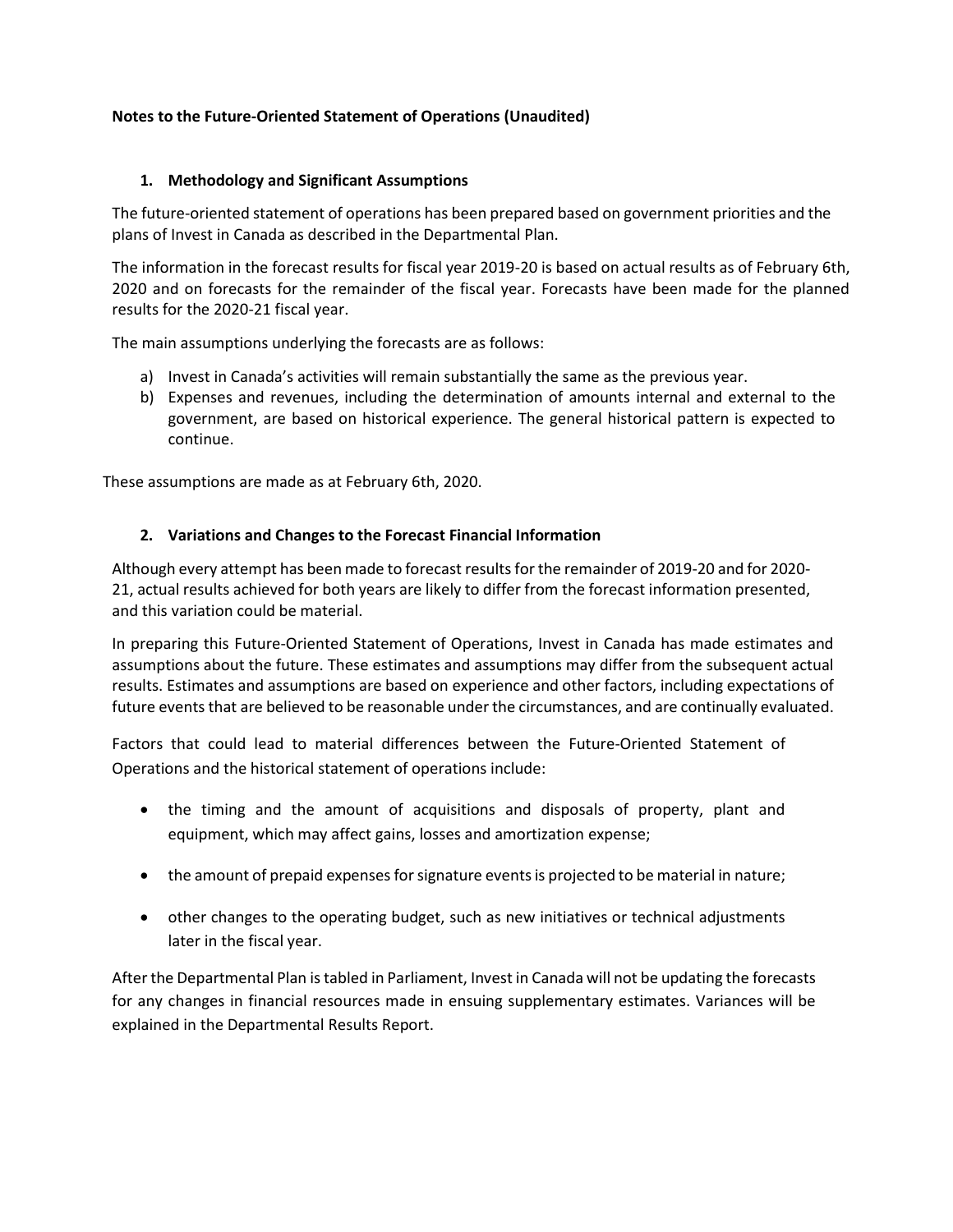## **Notes to the Future-Oriented Statement of Operations (Unaudited)**

## **1. Methodology and Significant Assumptions**

The future-oriented statement of operations has been prepared based on government priorities and the plans of Invest in Canada as described in the Departmental Plan.

The information in the forecast results for fiscal year 2019-20 is based on actual results as of February 6th, 2020 and on forecasts for the remainder of the fiscal year. Forecasts have been made for the planned results for the 2020-21 fiscal year.

The main assumptions underlying the forecasts are as follows:

- a) Invest in Canada's activities will remain substantially the same as the previous year.
- b) Expenses and revenues, including the determination of amounts internal and external to the government, are based on historical experience. The general historical pattern is expected to continue.

These assumptions are made as at February 6th, 2020.

#### **2. Variations and Changes to the Forecast Financial Information**

Although every attempt has been made to forecast resultsfor the remainder of 2019-20 and for 2020- 21, actual results achieved for both years are likely to differ from the forecast information presented, and this variation could be material.

In preparing this Future-Oriented Statement of Operations, Invest in Canada has made estimates and assumptions about the future. These estimates and assumptions may differ from the subsequent actual results. Estimates and assumptions are based on experience and other factors, including expectations of future events that are believed to be reasonable under the circumstances, and are continually evaluated.

Factors that could lead to material differences between the Future-Oriented Statement of Operations and the historical statement of operations include:

- the timing and the amount of acquisitions and disposals of property, plant and equipment, which may affect gains, losses and amortization expense;
- the amount of prepaid expenses for signature events is projected to be material in nature;
- other changes to the operating budget, such as new initiatives or technical adjustments later in the fiscal year.

After the Departmental Plan is tabled in Parliament, Invest in Canada will not be updating the forecasts for any changes in financial resources made in ensuing supplementary estimates. Variances will be explained in the Departmental Results Report.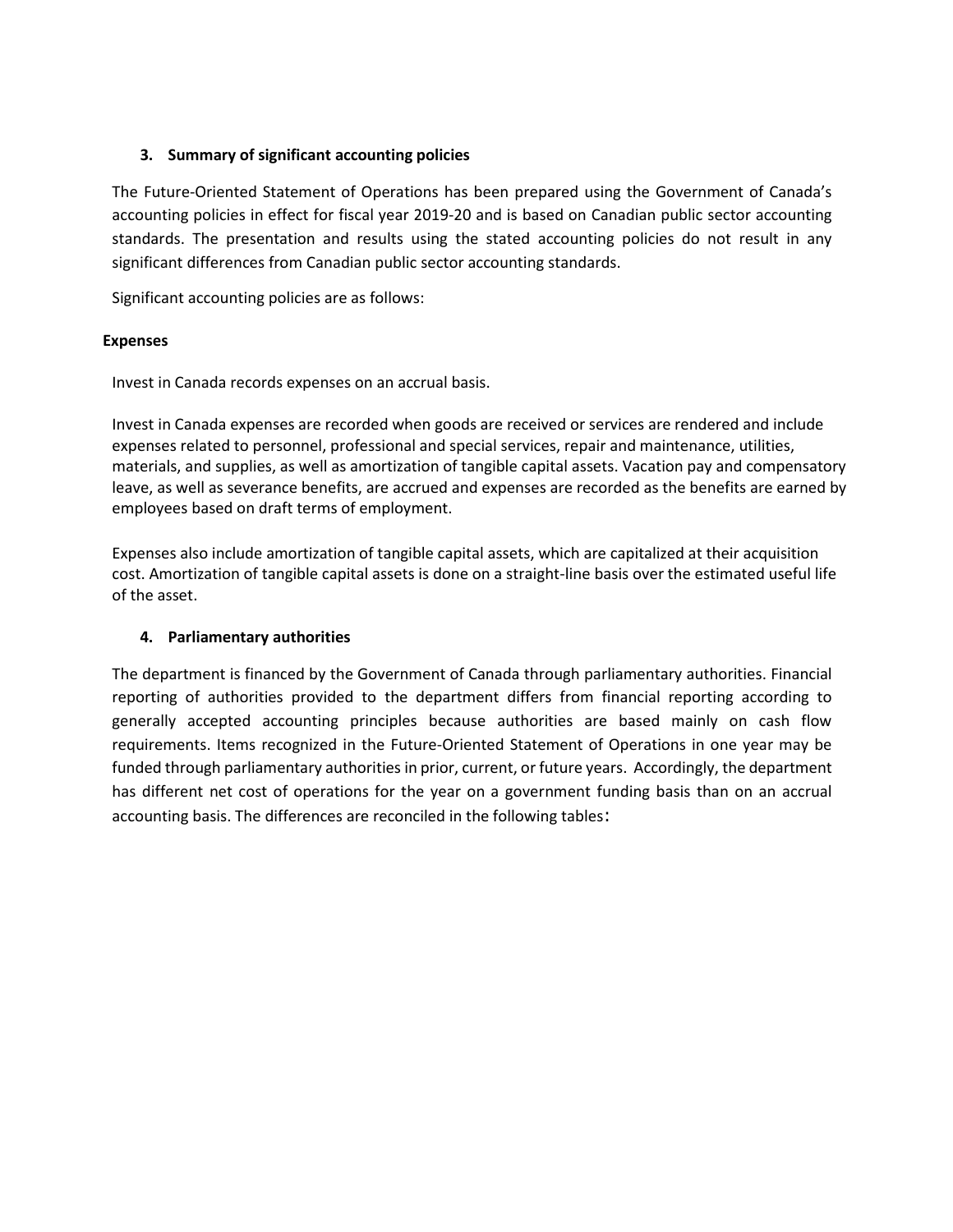## **3. Summary of significant accounting policies**

The Future-Oriented Statement of Operations has been prepared using the Government of Canada's accounting policies in effect for fiscal year 2019-20 and is based on Canadian public sector accounting standards. The presentation and results using the stated accounting policies do not result in any significant differences from Canadian public sector accounting standards.

Significant accounting policies are as follows:

#### **Expenses**

Invest in Canada records expenses on an accrual basis.

Invest in Canada expenses are recorded when goods are received or services are rendered and include expenses related to personnel, professional and special services, repair and maintenance, utilities, materials, and supplies, as well as amortization of tangible capital assets. Vacation pay and compensatory leave, as well as severance benefits, are accrued and expenses are recorded as the benefits are earned by employees based on draft terms of employment.

Expenses also include amortization of tangible capital assets, which are capitalized at their acquisition cost. Amortization of tangible capital assets is done on a straight-line basis over the estimated useful life of the asset.

## **4. Parliamentary authorities**

The department is financed by the Government of Canada through parliamentary authorities. Financial reporting of authorities provided to the department differs from financial reporting according to generally accepted accounting principles because authorities are based mainly on cash flow requirements. Items recognized in the Future-Oriented Statement of Operations in one year may be funded through parliamentary authorities in prior, current, or future years. Accordingly, the department has different net cost of operations for the year on a government funding basis than on an accrual accounting basis. The differences are reconciled in the following tables: